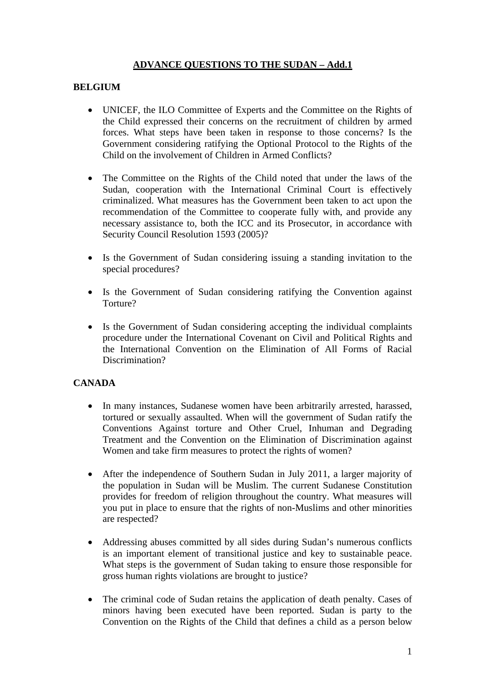# **ADVANCE QUESTIONS TO THE SUDAN – Add.1**

#### **BELGIUM**

- UNICEF, the ILO Committee of Experts and the Committee on the Rights of the Child expressed their concerns on the recruitment of children by armed forces. What steps have been taken in response to those concerns? Is the Government considering ratifying the Optional Protocol to the Rights of the Child on the involvement of Children in Armed Conflicts?
- The Committee on the Rights of the Child noted that under the laws of the Sudan, cooperation with the International Criminal Court is effectively criminalized. What measures has the Government been taken to act upon the recommendation of the Committee to cooperate fully with, and provide any necessary assistance to, both the ICC and its Prosecutor, in accordance with Security Council Resolution 1593 (2005)?
- Is the Government of Sudan considering issuing a standing invitation to the special procedures?
- Is the Government of Sudan considering ratifying the Convention against Torture?
- Is the Government of Sudan considering accepting the individual complaints procedure under the International Covenant on Civil and Political Rights and the International Convention on the Elimination of All Forms of Racial Discrimination?

## **CANADA**

- In many instances, Sudanese women have been arbitrarily arrested, harassed, tortured or sexually assaulted. When will the government of Sudan ratify the Conventions Against torture and Other Cruel, Inhuman and Degrading Treatment and the Convention on the Elimination of Discrimination against Women and take firm measures to protect the rights of women?
- After the independence of Southern Sudan in July 2011, a larger majority of the population in Sudan will be Muslim. The current Sudanese Constitution provides for freedom of religion throughout the country. What measures will you put in place to ensure that the rights of non-Muslims and other minorities are respected?
- Addressing abuses committed by all sides during Sudan's numerous conflicts is an important element of transitional justice and key to sustainable peace. What steps is the government of Sudan taking to ensure those responsible for gross human rights violations are brought to justice?
- The criminal code of Sudan retains the application of death penalty. Cases of minors having been executed have been reported. Sudan is party to the Convention on the Rights of the Child that defines a child as a person below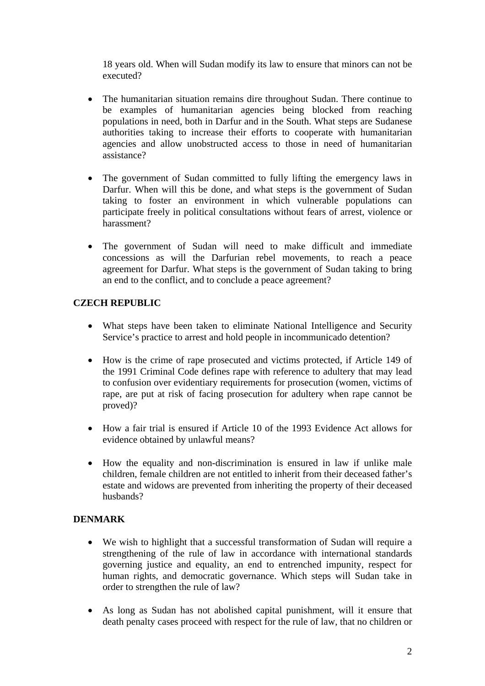18 years old. When will Sudan modify its law to ensure that minors can not be executed?

- The humanitarian situation remains dire throughout Sudan. There continue to be examples of humanitarian agencies being blocked from reaching populations in need, both in Darfur and in the South. What steps are Sudanese authorities taking to increase their efforts to cooperate with humanitarian agencies and allow unobstructed access to those in need of humanitarian assistance?
- The government of Sudan committed to fully lifting the emergency laws in Darfur. When will this be done, and what steps is the government of Sudan taking to foster an environment in which vulnerable populations can participate freely in political consultations without fears of arrest, violence or harassment?
- The government of Sudan will need to make difficult and immediate concessions as will the Darfurian rebel movements, to reach a peace agreement for Darfur. What steps is the government of Sudan taking to bring an end to the conflict, and to conclude a peace agreement?

## **CZECH REPUBLIC**

- What steps have been taken to eliminate National Intelligence and Security Service's practice to arrest and hold people in incommunicado detention?
- How is the crime of rape prosecuted and victims protected, if Article 149 of the 1991 Criminal Code defines rape with reference to adultery that may lead to confusion over evidentiary requirements for prosecution (women, victims of rape, are put at risk of facing prosecution for adultery when rape cannot be proved)?
- How a fair trial is ensured if Article 10 of the 1993 Evidence Act allows for evidence obtained by unlawful means?
- How the equality and non-discrimination is ensured in law if unlike male children, female children are not entitled to inherit from their deceased father's estate and widows are prevented from inheriting the property of their deceased husbands?

## **DENMARK**

- We wish to highlight that a successful transformation of Sudan will require a strengthening of the rule of law in accordance with international standards governing justice and equality, an end to entrenched impunity, respect for human rights, and democratic governance. Which steps will Sudan take in order to strengthen the rule of law?
- As long as Sudan has not abolished capital punishment, will it ensure that death penalty cases proceed with respect for the rule of law, that no children or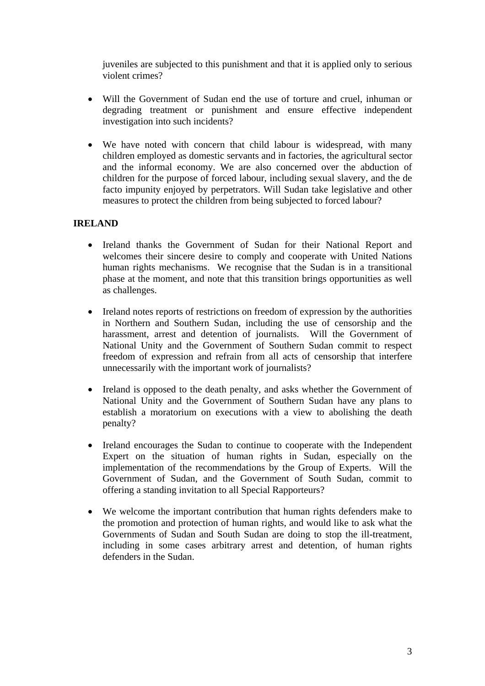juveniles are subjected to this punishment and that it is applied only to serious violent crimes?

- Will the Government of Sudan end the use of torture and cruel, inhuman or degrading treatment or punishment and ensure effective independent investigation into such incidents?
- We have noted with concern that child labour is widespread, with many children employed as domestic servants and in factories, the agricultural sector and the informal economy. We are also concerned over the abduction of children for the purpose of forced labour, including sexual slavery, and the de facto impunity enjoyed by perpetrators. Will Sudan take legislative and other measures to protect the children from being subjected to forced labour?

## **IRELAND**

- Ireland thanks the Government of Sudan for their National Report and welcomes their sincere desire to comply and cooperate with United Nations human rights mechanisms. We recognise that the Sudan is in a transitional phase at the moment, and note that this transition brings opportunities as well as challenges.
- Ireland notes reports of restrictions on freedom of expression by the authorities in Northern and Southern Sudan, including the use of censorship and the harassment, arrest and detention of journalists. Will the Government of National Unity and the Government of Southern Sudan commit to respect freedom of expression and refrain from all acts of censorship that interfere unnecessarily with the important work of journalists?
- Ireland is opposed to the death penalty, and asks whether the Government of National Unity and the Government of Southern Sudan have any plans to establish a moratorium on executions with a view to abolishing the death penalty?
- Ireland encourages the Sudan to continue to cooperate with the Independent Expert on the situation of human rights in Sudan, especially on the implementation of the recommendations by the Group of Experts. Will the Government of Sudan, and the Government of South Sudan, commit to offering a standing invitation to all Special Rapporteurs?
- We welcome the important contribution that human rights defenders make to the promotion and protection of human rights, and would like to ask what the Governments of Sudan and South Sudan are doing to stop the ill-treatment, including in some cases arbitrary arrest and detention, of human rights defenders in the Sudan.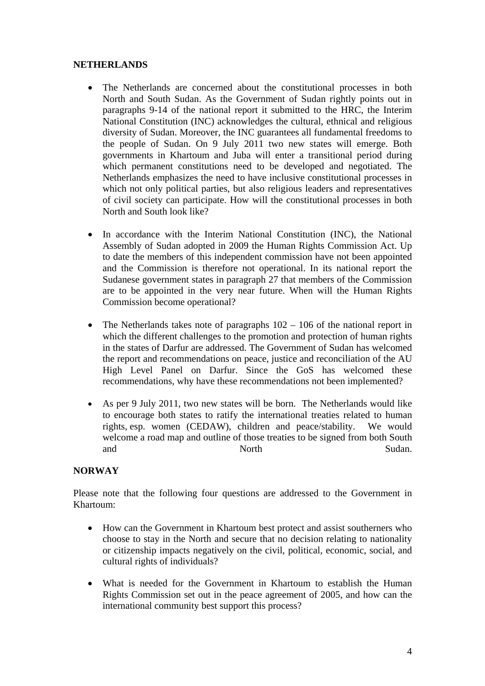#### **NETHERLANDS**

- The Netherlands are concerned about the constitutional processes in both North and South Sudan. As the Government of Sudan rightly points out in paragraphs 9-14 of the national report it submitted to the HRC, the Interim National Constitution (INC) acknowledges the cultural, ethnical and religious diversity of Sudan. Moreover, the INC guarantees all fundamental freedoms to the people of Sudan. On 9 July 2011 two new states will emerge. Both governments in Khartoum and Juba will enter a transitional period during which permanent constitutions need to be developed and negotiated. The Netherlands emphasizes the need to have inclusive constitutional processes in which not only political parties, but also religious leaders and representatives of civil society can participate. How will the constitutional processes in both North and South look like?
- In accordance with the Interim National Constitution (INC), the National Assembly of Sudan adopted in 2009 the Human Rights Commission Act. Up to date the members of this independent commission have not been appointed and the Commission is therefore not operational. In its national report the Sudanese government states in paragraph 27 that members of the Commission are to be appointed in the very near future. When will the Human Rights Commission become operational?
- The Netherlands takes note of paragraphs  $102 106$  of the national report in which the different challenges to the promotion and protection of human rights in the states of Darfur are addressed. The Government of Sudan has welcomed the report and recommendations on peace, justice and reconciliation of the AU High Level Panel on Darfur. Since the GoS has welcomed these recommendations, why have these recommendations not been implemented?
- As per 9 July 2011, two new states will be born. The Netherlands would like to encourage both states to ratify the international treaties related to human rights, esp. women (CEDAW), children and peace/stability. We would welcome a road map and outline of those treaties to be signed from both South and North Sudan.

## **NORWAY**

Please note that the following four questions are addressed to the Government in Khartoum:

- How can the Government in Khartoum best protect and assist southerners who choose to stay in the North and secure that no decision relating to nationality or citizenship impacts negatively on the civil, political, economic, social, and cultural rights of individuals?
- What is needed for the Government in Khartoum to establish the Human Rights Commission set out in the peace agreement of 2005, and how can the international community best support this process?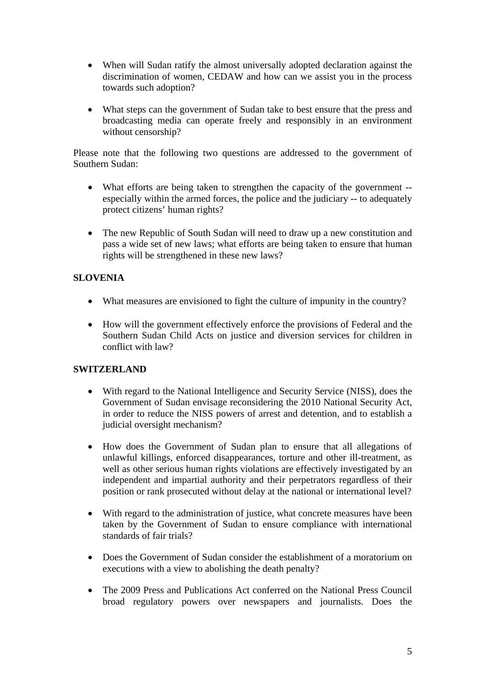- When will Sudan ratify the almost universally adopted declaration against the discrimination of women, CEDAW and how can we assist you in the process towards such adoption?
- What steps can the government of Sudan take to best ensure that the press and broadcasting media can operate freely and responsibly in an environment without censorship?

Please note that the following two questions are addressed to the government of Southern Sudan:

- What efforts are being taken to strengthen the capacity of the government especially within the armed forces, the police and the judiciary -- to adequately protect citizens' human rights?
- The new Republic of South Sudan will need to draw up a new constitution and pass a wide set of new laws; what efforts are being taken to ensure that human rights will be strengthened in these new laws?

## **SLOVENIA**

- What measures are envisioned to fight the culture of impunity in the country?
- How will the government effectively enforce the provisions of Federal and the Southern Sudan Child Acts on justice and diversion services for children in conflict with law?

## **SWITZERLAND**

- With regard to the National Intelligence and Security Service (NISS), does the Government of Sudan envisage reconsidering the 2010 National Security Act, in order to reduce the NISS powers of arrest and detention, and to establish a judicial oversight mechanism?
- How does the Government of Sudan plan to ensure that all allegations of unlawful killings, enforced disappearances, torture and other ill-treatment, as well as other serious human rights violations are effectively investigated by an independent and impartial authority and their perpetrators regardless of their position or rank prosecuted without delay at the national or international level?
- With regard to the administration of justice, what concrete measures have been taken by the Government of Sudan to ensure compliance with international standards of fair trials?
- Does the Government of Sudan consider the establishment of a moratorium on executions with a view to abolishing the death penalty?
- The 2009 Press and Publications Act conferred on the National Press Council broad regulatory powers over newspapers and journalists. Does the